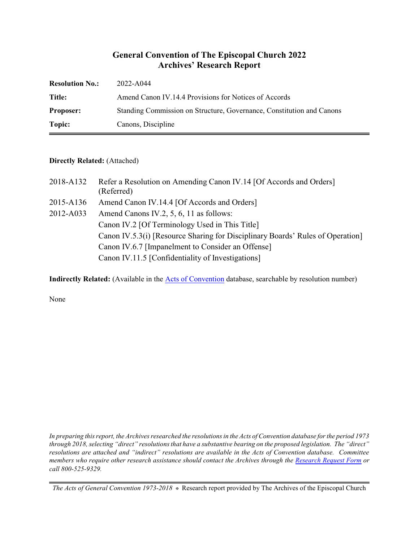## **General Convention of The Episcopal Church 2022 Archives' Research Report**

| <b>Resolution No.:</b> | 2022-A044                                                             |
|------------------------|-----------------------------------------------------------------------|
| Title:                 | Amend Canon IV.14.4 Provisions for Notices of Accords                 |
| <b>Proposer:</b>       | Standing Commission on Structure, Governance, Constitution and Canons |
| Topic:                 | Canons, Discipline                                                    |

## **Directly Related:** (Attached)

| 2018-A132 | Refer a Resolution on Amending Canon IV.14 [Of Accords and Orders]<br>(Referred) |
|-----------|----------------------------------------------------------------------------------|
| 2015-A136 | Amend Canon IV.14.4 [Of Accords and Orders]                                      |
| 2012-A033 | Amend Canons IV.2, 5, 6, 11 as follows:                                          |
|           | Canon IV.2 [Of Terminology Used in This Title]                                   |
|           | Canon IV.5.3(i) [Resource Sharing for Disciplinary Boards' Rules of Operation]   |
|           | Canon IV.6.7 [Impanelment to Consider an Offense]                                |
|           | Canon IV.11.5 [Confidentiality of Investigations]                                |

**Indirectly Related:** (Available in the [Acts of Convention](https://www.episcopalarchives.org/e-archives/acts/) database, searchable by resolution number)

None

*In preparing this report, the Archives researched the resolutions in the Acts of Convention database for the period 1973 through 2018, selecting "direct" resolutions that have a substantive bearing on the proposed legislation. The "direct" resolutions are attached and "indirect" resolutions are available in the Acts of Convention database. Committee members who require other research assistance should contact the Archives through the Research [Request Form](https://www.episcopalarchives.org/contact/research-request-form) or call 800-525-9329.*

*The Acts of General Convention 1973-2018*  $*$  Research report provided by The Archives of the Episcopal Church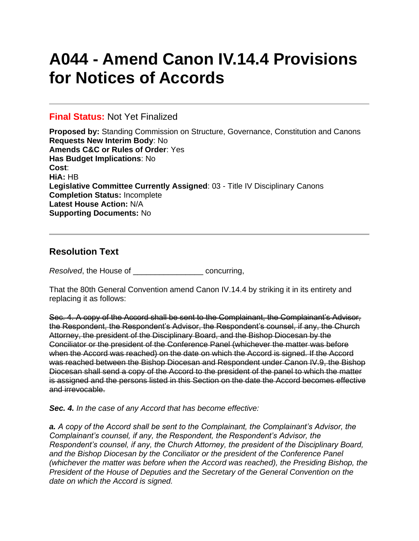# **A044 - Amend Canon IV.14.4 Provisions for Notices of Accords**

## **Final Status:** Not Yet Finalized

**Proposed by:** Standing Commission on Structure, Governance, Constitution and Canons **Requests New Interim Body**: No **Amends C&C or Rules of Order**: Yes **Has Budget Implications**: No **Cost**: **HiA:** HB **Legislative Committee Currently Assigned**: 03 - Title IV Disciplinary Canons **Completion Status:** Incomplete **Latest House Action:** N/A **Supporting Documents:** No

# **Resolution Text**

*Resolved*, the House of \_\_\_\_\_\_\_\_\_\_\_\_\_\_\_\_ concurring,

That the 80th General Convention amend Canon IV.14.4 by striking it in its entirety and replacing it as follows:

Sec. 4. A copy of the Accord shall be sent to the Complainant, the Complainant's Advisor, the Respondent, the Respondent's Advisor, the Respondent's counsel, if any, the Church Attorney, the president of the Disciplinary Board, and the Bishop Diocesan by the Conciliator or the president of the Conference Panel (whichever the matter was before when the Accord was reached) on the date on which the Accord is signed. If the Accord was reached between the Bishop Diocesan and Respondent under Canon IV.9, the Bishop Diocesan shall send a copy of the Accord to the president of the panel to which the matter is assigned and the persons listed in this Section on the date the Accord becomes effective and irrevocable.

*Sec. 4. In the case of any Accord that has become effective:*

*a. A copy of the Accord shall be sent to the Complainant, the Complainant's Advisor, the Complainant's counsel, if any, the Respondent, the Respondent's Advisor, the Respondent's counsel, if any, the Church Attorney, the president of the Disciplinary Board, and the Bishop Diocesan by the Conciliator or the president of the Conference Panel (whichever the matter was before when the Accord was reached), the Presiding Bishop, the President of the House of Deputies and the Secretary of the General Convention on the date on which the Accord is signed.*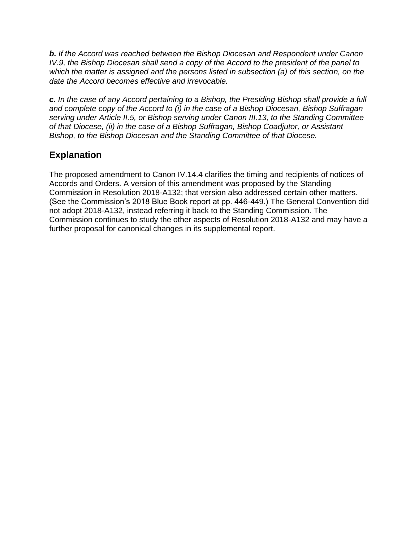*b. If the Accord was reached between the Bishop Diocesan and Respondent under Canon IV.9, the Bishop Diocesan shall send a copy of the Accord to the president of the panel to which the matter is assigned and the persons listed in subsection (a) of this section, on the date the Accord becomes effective and irrevocable.*

*c. In the case of any Accord pertaining to a Bishop, the Presiding Bishop shall provide a full and complete copy of the Accord to (i) in the case of a Bishop Diocesan, Bishop Suffragan serving under Article II.5, or Bishop serving under Canon III.13, to the Standing Committee of that Diocese, (ii) in the case of a Bishop Suffragan, Bishop Coadjutor, or Assistant Bishop, to the Bishop Diocesan and the Standing Committee of that Diocese.*

# **Explanation**

The proposed amendment to Canon IV.14.4 clarifies the timing and recipients of notices of Accords and Orders. A version of this amendment was proposed by the Standing Commission in Resolution 2018-A132; that version also addressed certain other matters. (See the Commission's 2018 Blue Book report at pp. 446-449.) The General Convention did not adopt 2018-A132, instead referring it back to the Standing Commission. The Commission continues to study the other aspects of Resolution 2018-A132 and may have a further proposal for canonical changes in its supplemental report.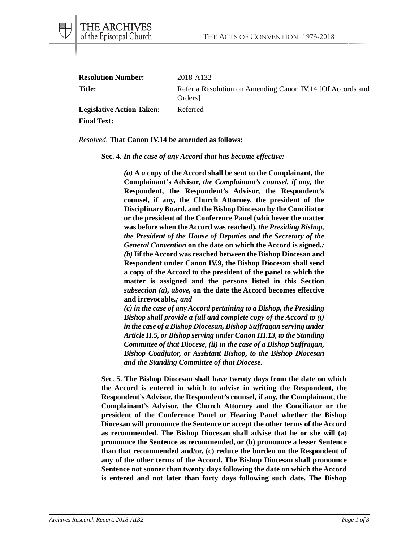| <b>Resolution Number:</b>        | 2018-A132                                                                         |
|----------------------------------|-----------------------------------------------------------------------------------|
| <b>Title:</b>                    | Refer a Resolution on Amending Canon IV.14 [Of Accords and<br>Orders <sup>1</sup> |
| <b>Legislative Action Taken:</b> | Referred                                                                          |
| <b>Final Text:</b>               |                                                                                   |

## *Resolved*, **That Canon IV.14 be amended as follows:**

**Sec. 4.** *In the case of any Accord that has become effective:*

*(a)* **A** *a* **copy of the Accord shall be sent to the Complainant, the Complainant's Advisor,** *the Complainant's counsel, if any,* **the Respondent, the Respondent's Advisor, the Respondent's counsel, if any, the Church Attorney, the president of the Disciplinary Board, and the Bishop Diocesan by the Conciliator or the president of the Conference Panel (whichever the matter was before when the Accord was reached),** *the Presiding Bishop, the President of the House of Deputies and the Secretary of the General Convention* **on the date on which the Accord is signed.***; (b)* **Iif the Accord was reached between the Bishop Diocesan and Respondent under Canon IV.9, the Bishop Diocesan shall send a copy of the Accord to the president of the panel to which the matter is assigned and the persons listed in this Section** *subsection (a), above,* **on the date the Accord becomes effective and irrevocable.***; and*

*(c) in the case of any Accord pertaining to a Bishop, the Presiding Bishop shall provide a full and complete copy of the Accord to (i) in the case of a Bishop Diocesan, Bishop Suffragan serving under Article II.5, or Bishop serving under Canon III.13, to the Standing Committee of that Diocese, (ii) in the case of a Bishop Suffragan, Bishop Coadjutor, or Assistant Bishop, to the Bishop Diocesan and the Standing Committee of that Diocese.*

**Sec. 5. The Bishop Diocesan shall have twenty days from the date on which the Accord is entered in which to advise in writing the Respondent, the Respondent's Advisor, the Respondent's counsel, if any, the Complainant, the Complainant's Advisor, the Church Attorney and the Conciliator or the president of the Conference Panel or Hearing Panel whether the Bishop Diocesan will pronounce the Sentence or accept the other terms of the Accord as recommended. The Bishop Diocesan shall advise that he or she will (a) pronounce the Sentence as recommended, or (b) pronounce a lesser Sentence than that recommended and/or, (c) reduce the burden on the Respondent of any of the other terms of the Accord. The Bishop Diocesan shall pronounce Sentence not sooner than twenty days following the date on which the Accord is entered and not later than forty days following such date. The Bishop**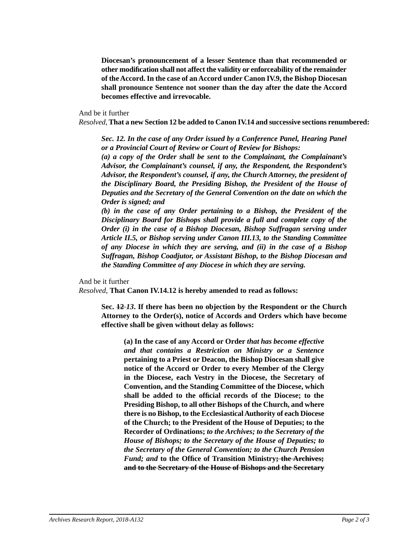**Diocesan's pronouncement of a lesser Sentence than that recommended or other modification shall not affect the validity or enforceability of the remainder of the Accord. In the case of an Accord under Canon IV.9, the Bishop Diocesan shall pronounce Sentence not sooner than the day after the date the Accord becomes effective and irrevocable.**

And be it further

*Resolved*, **That a new Section 12 be added to Canon IV.14 and successive sections renumbered:**

*Sec. 12. In the case of any Order issued by a Conference Panel, Hearing Panel or a Provincial Court of Review or Court of Review for Bishops:*

*(a) a copy of the Order shall be sent to the Complainant, the Complainant's Advisor, the Complainant's counsel, if any, the Respondent, the Respondent's Advisor, the Respondent's counsel, if any, the Church Attorney, the president of the Disciplinary Board, the Presiding Bishop, the President of the House of Deputies and the Secretary of the General Convention on the date on which the Order is signed; and*

*(b) in the case of any Order pertaining to a Bishop, the President of the Disciplinary Board for Bishops shall provide a full and complete copy of the Order (i) in the case of a Bishop Diocesan, Bishop Suffragan serving under Article II.5, or Bishop serving under Canon III.13, to the Standing Committee of any Diocese in which they are serving, and (ii) in the case of a Bishop Suffragan, Bishop Coadjutor, or Assistant Bishop, to the Bishop Diocesan and the Standing Committee of any Diocese in which they are serving.*

And be it further

*Resolved*, **That Canon IV.14.12 is hereby amended to read as follows:**

**Sec. 12** *13***. If there has been no objection by the Respondent or the Church Attorney to the Order(s), notice of Accords and Orders which have become effective shall be given without delay as follows:**

**(a) In the case of any Accord or Order** *that has become effective and that contains a Restriction on Ministry or a Sentence* **pertaining to a Priest or Deacon, the Bishop Diocesan shall give notice of the Accord or Order to every Member of the Clergy in the Diocese, each Vestry in the Diocese, the Secretary of Convention, and the Standing Committee of the Diocese, which shall be added to the official records of the Diocese; to the Presiding Bishop, to all other Bishops of the Church, and where there is no Bishop, to the Ecclesiastical Authority of each Diocese of the Church; to the President of the House of Deputies; to the Recorder of Ordinations;** *to the Archives; to the Secretary of the House of Bishops; to the Secretary of the House of Deputies; to the Secretary of the General Convention; to the Church Pension Fund; and* **to the Office of Transition Ministry; the Archives; and to the Secretary of the House of Bishops and the Secretary**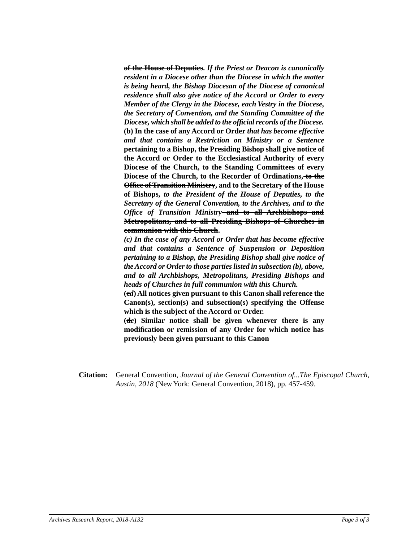**of the House of Deputies.** *If the Priest or Deacon is canonically resident in a Diocese other than the Diocese in which the matter is being heard, the Bishop Diocesan of the Diocese of canonical residence shall also give notice of the Accord or Order to every Member of the Clergy in the Diocese, each Vestry in the Diocese, the Secretary of Convention, and the Standing Committee of the Diocese, which shall be added to the official records of the Diocese.* **(b) In the case of any Accord or Order** *that has become effective and that contains a Restriction on Ministry or a Sentence* **pertaining to a Bishop, the Presiding Bishop shall give notice of the Accord or Order to the Ecclesiastical Authority of every Diocese of the Church, to the Standing Committees of every Diocese of the Church, to the Recorder of Ordinations, to the Office of Transition Ministry, and to the Secretary of the House of Bishops,** *to the President of the House of Deputies, to the Secretary of the General Convention, to the Archives, and to the Office of Transition Ministry* **and to all Archbishops and Metropolitans, and to all Presiding Bishops of Churches in communion with this Church.**

*(c) In the case of any Accord or Order that has become effective and that contains a Sentence of Suspension or Deposition pertaining to a Bishop, the Presiding Bishop shall give notice of the Accord or Order to those parties listed in subsection (b), above, and to all Archbishops, Metropolitans, Presiding Bishops and heads of Churches in full communion with this Church.*

**(c***d***) All notices given pursuant to this Canon shall reference the Canon(s), section(s) and subsection(s) specifying the Offense which is the subject of the Accord or Order.**

**(d***e***) Similar notice shall be given whenever there is any modification or remission of any Order for which notice has previously been given pursuant to this Canon**

**Citation:** General Convention, *Journal of the General Convention of...The Episcopal Church, Austin, 2018* (New York: General Convention, 2018), pp. 457-459.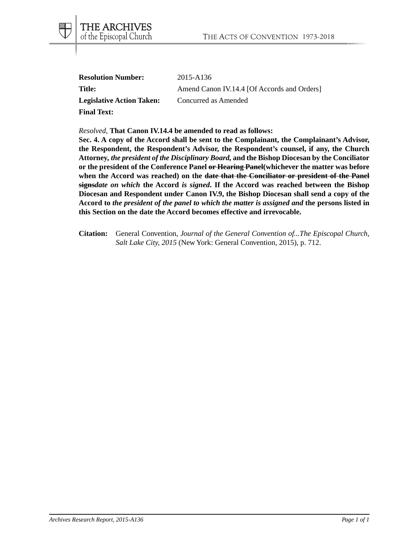| <b>Resolution Number:</b>        | 2015-A136                                   |
|----------------------------------|---------------------------------------------|
| Title:                           | Amend Canon IV.14.4 [Of Accords and Orders] |
| <b>Legislative Action Taken:</b> | Concurred as Amended                        |
| <b>Final Text:</b>               |                                             |

*Resolved*, **That Canon IV.14.4 be amended to read as follows:**

THE ARCHIVES<br>of the Episcopal Church

**Sec. 4. A copy of the Accord shall be sent to the Complainant, the Complainant's Advisor, the Respondent, the Respondent's Advisor, the Respondent's counsel, if any, the Church Attorney***, the president of the Disciplinary Board,* **and the Bishop Diocesan by the Conciliator or the president of the Conference Panel or Hearing Panel(whichever the matter was before when the Accord was reached) on the date that the Conciliator or president of the Panel signs***date on which* **the Accord** *is signed***. If the Accord was reached between the Bishop Diocesan and Respondent under Canon IV.9, the Bishop Diocesan shall send a copy of the Accord to** *the president of the panel to which the matter is assigned and* **the persons listed in this Section on the date the Accord becomes effective and irrevocable.**

**Citation:** General Convention, *Journal of the General Convention of...The Episcopal Church, Salt Lake City, 2015* (New York: General Convention, 2015), p. 712.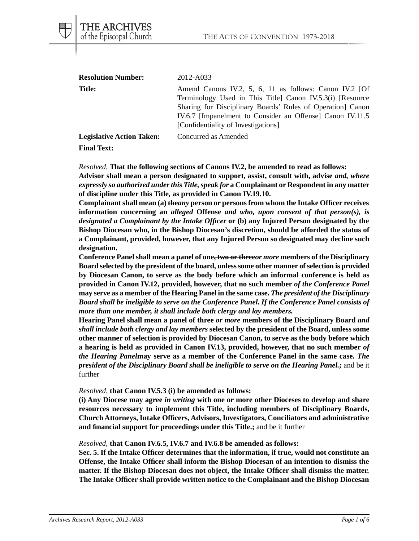| <b>Resolution Number:</b>        | 2012-A033                                                                                                                                                                                                                                                                            |
|----------------------------------|--------------------------------------------------------------------------------------------------------------------------------------------------------------------------------------------------------------------------------------------------------------------------------------|
| <b>Title:</b>                    | Amend Canons IV.2, 5, 6, 11 as follows: Canon IV.2 [Of<br>Terminology Used in This Title Canon IV.5.3(i) [Resource]<br>Sharing for Disciplinary Boards' Rules of Operation Canon<br>IV.6.7 [Impanelment to Consider an Offense] Canon IV.11.5<br>[Confidentiality of Investigations] |
| <b>Legislative Action Taken:</b> | Concurred as Amended                                                                                                                                                                                                                                                                 |

## **Final Text:**

THE ARCHIVES of the Episcopal Church

*Resolved*, **That the following sections of Canons IV.2, be amended to read as follows: Advisor shall mean a person designated to support, assist, consult with, advise** *and, where expressly so authorized under this Title, speak for* **a Complainant or Respondent in any matter of discipline under this Title***,* **as provided in Canon IV.19.10.**

**Complainant shall mean (a) the***any* **person or persons from whom the Intake Officer receives information concerning an** *alleged* **Offense** *and who, upon consent of that person(s), is designated a Complainant by the Intake Officer* **or (b) any Injured Person designated by the Bishop Diocesan who, in the Bishop Diocesan's discretion, should be afforded the status of a Complainant, provided, however, that any Injured Person so designated may decline such designation.**

**Conference Panel shall mean a panel of one, two or three***or more* **members of the Disciplinary Board selected by the president of the board, unless some other manner of selection is provided by Diocesan Canon, to serve as the body before which an informal conference is held as provided in Canon IV.12, provided, however, that no such member** *of the Conference Panel* **may serve as a member of the Hearing Panel in the same case.** *The president of the Disciplinary Board shall be ineligible to serve on the Conference Panel. If the Conference Panel consists of more than one member, it shall include both clergy and lay members.*

**Hearing Panel shall mean a panel of three** *or more* **members of the Disciplinary Board** *and shall include both clergy and lay members* **selected by the president of the Board, unless some other manner of selection is provided by Diocesan Canon, to serve as the body before which a hearing is held as provided in Canon IV.13, provided, however, that no such member** *of the Hearing Panel***may serve as a member of the Conference Panel in the same case***. The president of the Disciplinary Board shall be ineligible to serve on the Hearing Panel.;* and be it further

*Resolved*, **that Canon IV.5.3 (i) be amended as follows:**

**(i) Any Diocese may agree** *in writing* **with one or more other Dioceses to develop and share resources necessary to implement this Title, including members of Disciplinary Boards, Church Attorneys, Intake Officers, Advisors, Investigators, Conciliators and administrative and financial support for proceedings under this Title.;** and be it further

*Resolved*, **that Canon IV.6.5, IV.6.7 and IV.6.8 be amended as follows:**

**Sec. 5. If the Intake Officer determines that the information, if true, would not constitute an Offense, the Intake Officer shall inform the Bishop Diocesan of an intention to dismiss the matter. If the Bishop Diocesan does not object, the Intake Officer shall dismiss the matter. The Intake Officer shall provide written notice to the Complainant and the Bishop Diocesan**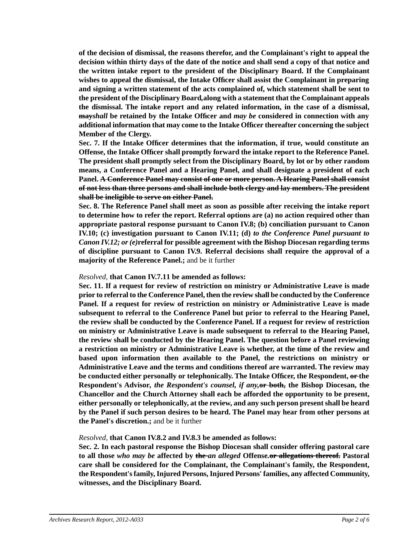**of the decision of dismissal, the reasons therefor, and the Complainant's right to appeal the decision within thirty days of the date of the notice and shall send a copy of that notice and the written intake report to the president of the Disciplinary Board. If the Complainant wishes to appeal the dismissal, the Intake Officer shall assist the Complainant in preparing and signing a written statement of the acts complained of, which statement shall be sent to the president of the Disciplinary Board***,***along with a statement that the Complainant appeals the dismissal. The intake report and any related information, in the case of a dismissal, may***shall* **be retained by the Intake Officer and** *may be* **considered in connection with any additional information that may come to the Intake Officer thereafter concerning the subject Member of the Clergy.**

**Sec. 7. If the Intake Officer determines that the information, if true, would constitute an Offense, the Intake Officer shall promptly forward the intake report to the Reference Panel. The president shall promptly select from the Disciplinary Board, by lot or by other random means, a Conference Panel and a Hearing Panel, and shall designate a president of each Panel. A Conference Panel may consist of one or more person. A Hearing Panel shall consist of not less than three persons and shall include both clergy and lay members. The president shall be ineligible to serve on either Panel.**

**Sec. 8. The Reference Panel shall meet as soon as possible after receiving the intake report to determine how to refer the report. Referral options are (a) no action required other than appropriate pastoral response pursuant to Canon IV.8; (b) conciliation pursuant to Canon IV.10; (c) investigation pursuant to Canon IV.11; (d)** *to the Conference Panel pursuant to Canon IV.12; or (e)***referral for possible agreement with the Bishop Diocesan regarding terms of discipline pursuant to Canon IV.9. Referral decisions shall require the approval of a majority of the Reference Panel.;** and be it further

## *Resolved,* **that Canon IV.7.11 be amended as follows:**

**Sec. 11. If a request for review of restriction on ministry or Administrative Leave is made prior to referral to the Conference Panel, then the review shall be conducted by the Conference Panel. If a request for review of restriction on ministry or Administrative Leave is made subsequent to referral to the Conference Panel but prior to referral to the Hearing Panel, the review shall be conducted by the Conference Panel. If a request for review of restriction on ministry or Administrative Leave is made subsequent to referral to the Hearing Panel, the review shall be conducted by the Hearing Panel. The question before a Panel reviewing a restriction on ministry or Administrative Leave is whether, at the time of the review and based upon information then available to the Panel, the restrictions on ministry or Administrative Leave and the terms and conditions thereof are warranted. The review may be conducted either personally or telephonically. The Intake Officer, the Respondent, or the Respondent's Advisor***, the Respondent's counsel, if any,***or both, the Bishop Diocesan, the Chancellor and the Church Attorney shall each be afforded the opportunity to be present, either personally or telephonically, at the review, and any such person present shall be heard by the Panel if such person desires to be heard. The Panel may hear from other persons at the Panel's discretion.;** and be it further

## *Resolved,* **that Canon IV.8.2 and IV.8.3 be amended as follows:**

**Sec. 2. In each pastoral response the Bishop Diocesan shall consider offering pastoral care to all those** *who may be* **affected by the** *an alleged* **Offense***.***or allegations thereof. Pastoral care shall be considered for the Complainant, the Complainant's family, the Respondent, the Respondent's family, Injured Persons, Injured Persons' families, any affected Community, witnesses, and the Disciplinary Board.**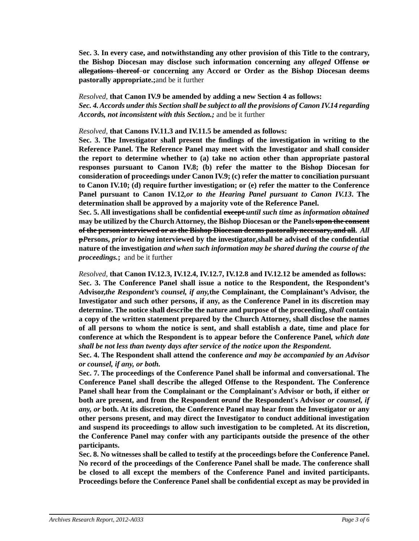**Sec. 3. In every case, and notwithstanding any other provision of this Title to the contrary, the Bishop Diocesan may disclose such information concerning any** *alleged* **Offense or allegations thereof or concerning any Accord or Order as the Bishop Diocesan deems pastorally appropriate.;**and be it further

*Resolved,* **that Canon IV.9 be amended by adding a new Section 4 as follows:** *Sec. 4. Accords under this Section shall be subject to all the provisions of Canon IV.14 regarding Accords, not inconsistent with this Section.;* and be it further

*Resolved,* **that Canons IV.11.3 and IV.11.5 be amended as follows:**

**Sec. 3. The Investigator shall present the findings of the investigation in writing to the Reference Panel. The Reference Panel may meet with the Investigator and shall consider the report to determine whether to (a) take no action other than appropriate pastoral responses pursuant to Canon IV.8; (b) refer the matter to the Bishop Diocesan for consideration of proceedings under Canon IV.9; (c) refer the matter to conciliation pursuant to Canon IV.10; (d) require further investigation; or (e) refer the matter to the Conference Panel pursuant to Canon IV.12***,or to the Hearing Panel pursuant to Canon IV.13***. The determination shall be approved by a majority vote of the Reference Panel.**

**Sec. 5. All investigations shall be confidential except** *until such time* **as** *information obtained* **may be utilized by the Church Attorney, the Bishop Diocesan or the Panels upon the consent of the person interviewed or as the Bishop Diocesan deems pastorally necessary, and all.** *All* **p***P***ersons,** *prior to being* **interviewed by the investigator***,***shall be advised of the confidential nature of the investigation** *and when such information may be shared during the course of the proceedings.***;** and be it further

*Resolved,* **that Canon IV.12.3, IV.12.4, IV.12.7, IV.12.8 and IV.12.12 be amended as follows: Sec. 3. The Conference Panel shall issue a notice to the Respondent, the Respondent's Advisor,***the Respondent's counsel, if any,***the Complainant, the Complainant's Advisor, the Investigator and such other persons, if any, as the Conference Panel in its discretion may determine. The notice shall describe the nature and purpose of the proceeding,** *shall* **contain a copy of the written statement prepared by the Church Attorney, shall disclose the names of all persons to whom the notice is sent, and shall establish a date, time and place for conference at which the Respondent is to appear before the Conference Panel***, which date shall be not less than twenty days after service of the notice upon the Respondent***.**

**Sec. 4. The Respondent shall attend the conference** *and may be accompanied by an Advisor or counsel, if any, or both.*

**Sec. 7. The proceedings of the Conference Panel shall be informal and conversational. The Conference Panel shall describe the alleged Offense to the Respondent. The Conference Panel shall hear from the Complainant or the Complainant's Advisor or both, if either or both are present, and from the Respondent or***and* **the Respondent's Advisor** *or counsel, if any, or* **both. At its discretion, the Conference Panel may hear from the Investigator or any other persons present, and may direct the Investigator to conduct additional investigation and suspend its proceedings to allow such investigation to be completed. At its discretion, the Conference Panel may confer with any participants outside the presence of the other participants.**

**Sec. 8. No witnesses shall be called to testify at the proceedings before the Conference Panel. No record of the proceedings of the Conference Panel shall be made. The conference shall be closed to all except the members of the Conference Panel and invited participants. Proceedings before the Conference Panel shall be confidential except as may be provided in**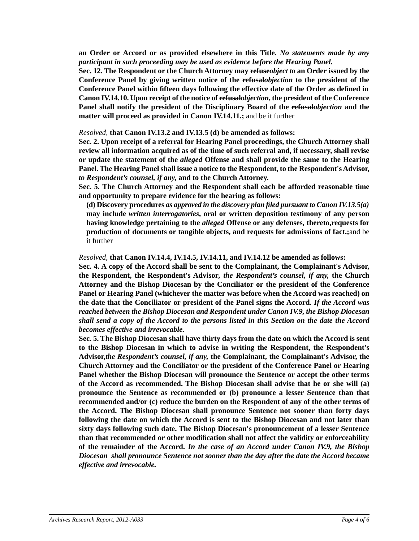**an Order or Accord or as provided elsewhere in this Title.** *No statements made by any participant in such proceeding may be used as evidence before the Hearing Panel.*

**Sec. 12. The Respondent or the Church Attorney may refuse***object to* **an Order issued by the Conference Panel by giving written notice of the refusal***objection* **to the president of the Conference Panel within fifteen days following the effective date of the Order as defined in Canon IV.14.10. Upon receipt of the notice of refusal***objection***, the president of the Conference Panel shall notify the president of the Disciplinary Board of the refusal***objection* **and the matter will proceed as provided in Canon IV.14.11.;** and be it further

*Resolved,* **that Canon IV.13.2 and IV.13.5 (d) be amended as follows:**

**Sec. 2. Upon receipt of a referral for Hearing Panel proceedings, the Church Attorney shall review all information acquired as of the time of such referral and, if necessary, shall revise or update the statement of the** *alleged* **Offense and shall provide the same to the Hearing Panel. The Hearing Panel shall issue a notice to the Respondent, to the Respondent's Advisor,** *to Respondent's counsel, if any,* **and to the Church Attorney.**

**Sec. 5. The Church Attorney and the Respondent shall each be afforded reasonable time and opportunity to prepare evidence for the hearing as follows:**

**(d) Discovery procedures** *as approved in the discovery plan filed pursuant to Canon IV.13.5(a)* **may include** *written interrogatories***, oral or written deposition testimony of any person having knowledge pertaining to the** *alleged* **Offense or any defenses, thereto,requests for production of documents or tangible objects, and requests for admissions of fact.;**and be it further

*Resolved,* **that Canon IV.14.4, IV.14.5, IV.14.11, and IV.14.12 be amended as follows:**

**Sec. 4. A copy of the Accord shall be sent to the Complainant, the Complainant's Advisor, the Respondent, the Respondent's Advisor***, the Respondent's counsel, if any,* **the Church Attorney and the Bishop Diocesan by the Conciliator or the president of the Conference Panel or Hearing Panel (whichever the matter was before when the Accord was reached) on the date that the Conciliator or president of the Panel signs the Accord***. If the Accord was reached between the Bishop Diocesan and Respondent under Canon IV.9, the Bishop Diocesan shall send a copy of the Accord to the persons listed in this Section on the date the Accord becomes effective and irrevocable.*

**Sec. 5. The Bishop Diocesan shall have thirty days from the date on which the Accord is sent to the Bishop Diocesan in which to advise in writing the Respondent, the Respondent's Advisor,***the Respondent's counsel, if any,* **the Complainant, the Complainant's Advisor, the Church Attorney and the Conciliator or the president of the Conference Panel or Hearing Panel whether the Bishop Diocesan will pronounce the Sentence or accept the other terms of the Accord as recommended. The Bishop Diocesan shall advise that he or she will (a) pronounce the Sentence as recommended or (b) pronounce a lesser Sentence than that recommended and/or (c) reduce the burden on the Respondent of any of the other terms of the Accord. The Bishop Diocesan shall pronounce Sentence not sooner than forty days following the date on which the Accord is sent to the Bishop Diocesan and not later than sixty days following such date. The Bishop Diocesan's pronouncement of a lesser Sentence than that recommended or other modification shall not affect the validity or enforceability of the remainder of the Accord.** *In the case of an Accord under Canon IV.9, the Bishop Diocesan shall pronounce Sentence not sooner than the day after the date the Accord became effective and irrevocable.*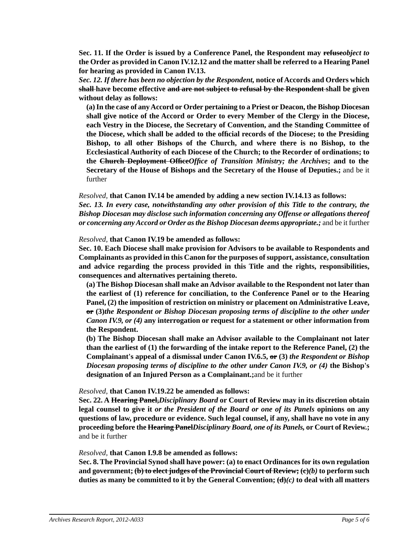**Sec. 11. If the Order is issued by a Conference Panel, the Respondent may refuse***object to* **the Order as provided in Canon IV.12.12 and the matter shall be referred to a Hearing Panel for hearing as provided in Canon IV.13.**

*Sec. 12. If there has been no objection by the Respondent,* **notice of Accords and Orders which shall have become effective and are not subject to refusal by the Respondent shall be given without delay as follows:**

**(a) In the case of any Accord or Order pertaining to a Priest or Deacon, the Bishop Diocesan shall give notice of the Accord or Order to every Member of the Clergy in the Diocese, each Vestry in the Diocese, the Secretary of Convention, and the Standing Committee of the Diocese, which shall be added to the official records of the Diocese; to the Presiding Bishop, to all other Bishops of the Church, and where there is no Bishop, to the Ecclesiastical Authority of each Diocese of the Church; to the Recorder of ordinations; to the Church Deployment Office***Office of Transition Ministry; the Archives***; and to the Secretary of the House of Bishops and the Secretary of the House of Deputies.;** and be it further

*Resolved,* **that Canon IV.14 be amended by adding a new section IV.14.13 as follows:** *Sec. 13. In every case, notwithstanding any other provision of this Title to the contrary, the Bishop Diocesan may disclose such information concerning any Offense or allegations thereof or concerning any Accord or Order as the Bishop Diocesan deems appropriate.;* and be it further

*Resolved,* **that Canon IV.19 be amended as follows:**

**Sec. 10. Each Diocese shall make provision for Advisors to be available to Respondents and Complainants as provided in this Canon for the purposes of support, assistance, consultation and advice regarding the process provided in this Title and the rights, responsibilities, consequences and alternatives pertaining thereto.**

**(a) The Bishop Diocesan shall make an Advisor available to the Respondent not later than the earliest of (1) reference for conciliation, to the Conference Panel or to the Hearing Panel, (2) the imposition of restriction on ministry or placement on Administrative Leave, or (3)***the Respondent or Bishop Diocesan proposing terms of discipline to the other under Canon IV.9, or (4)* **any interrogation or request for a statement or other information from the Respondent.**

**(b) The Bishop Diocesan shall make an Advisor available to the Complainant not later than the earliest of (1) the forwarding of the intake report to the Reference Panel, (2) the Complainant's appeal of a dismissal under Canon IV.6.5, or (3)** *the Respondent or Bishop Diocesan proposing terms of discipline to the other under Canon IV.9, or (4)* **the Bishop's designation of an Injured Person as a Complainant.;**and be it further

*Resolved,* **that Canon IV.19.22 be amended as follows:**

**Sec. 22. A Hearing Panel,***Disciplinary Board* **or Court of Review may in its discretion obtain legal counsel to give it** *or the President of the Board or one of its Panels* **opinions on any questions of law, procedure or evidence. Such legal counsel, if any, shall have no vote in any proceeding before the Hearing Panel***Disciplinary Board, one of its Panels,* **or Court of Review.;** and be it further

*Resolved,* **that Canon I.9.8 be amended as follows:**

**Sec. 8. The Provincial Synod shall have power: (a) to enact Ordinances for its own regulation and government; (b) to elect judges of the Provincial Court of Review; (c)***(b)* **to perform such duties as many be committed to it by the General Convention; (d)***(c)* **to deal with all matters**